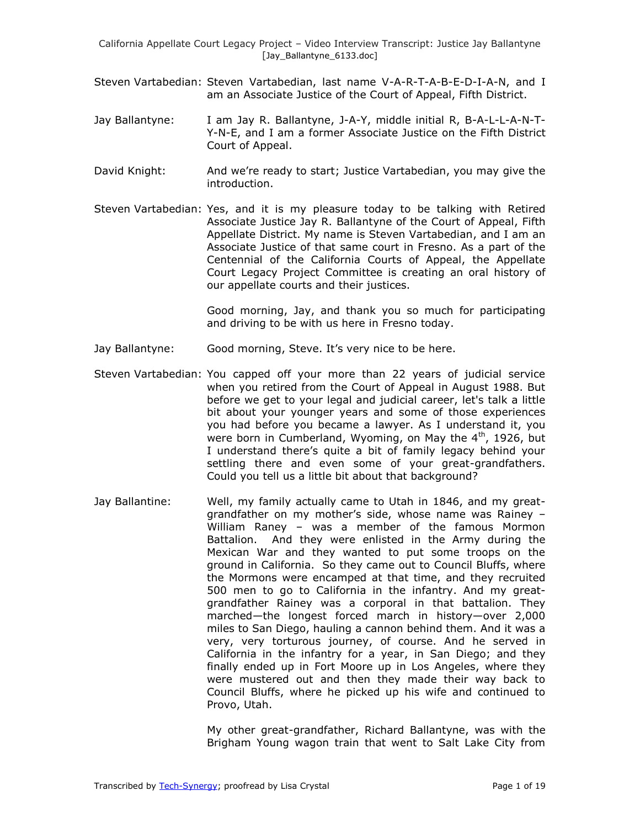- Steven Vartabedian: Steven Vartabedian, last name V-A-R-T-A-B-E-D-I-A-N, and I am an Associate Justice of the Court of Appeal, Fifth District.
- Jay Ballantyne: I am Jay R. Ballantyne, J-A-Y, middle initial R, B-A-L-L-A-N-T-Y-N-E, and I am a former Associate Justice on the Fifth District Court of Appeal.
- David Knight: And we're ready to start; Justice Vartabedian, you may give the introduction.
- Steven Vartabedian: Yes, and it is my pleasure today to be talking with Retired Associate Justice Jay R. Ballantyne of the Court of Appeal, Fifth Appellate District. My name is Steven Vartabedian, and I am an Associate Justice of that same court in Fresno. As a part of the Centennial of the California Courts of Appeal, the Appellate Court Legacy Project Committee is creating an oral history of our appellate courts and their justices.

Good morning, Jay, and thank you so much for participating and driving to be with us here in Fresno today.

- Jay Ballantyne: Good morning, Steve. It's very nice to be here.
- Steven Vartabedian: You capped off your more than 22 years of judicial service when you retired from the Court of Appeal in August 1988. But before we get to your legal and judicial career, let's talk a little bit about your younger years and some of those experiences you had before you became a lawyer. As I understand it, you were born in Cumberland, Wyoming, on May the  $4<sup>th</sup>$ , 1926, but I understand there's quite a bit of family legacy behind your settling there and even some of your great-grandfathers. Could you tell us a little bit about that background?
- Jay Ballantine: Well, my family actually came to Utah in 1846, and my greatgrandfather on my mother's side, whose name was Rainey – William Raney – was a member of the famous Mormon Battalion. And they were enlisted in the Army during the Mexican War and they wanted to put some troops on the ground in California. So they came out to Council Bluffs, where the Mormons were encamped at that time, and they recruited 500 men to go to California in the infantry. And my greatgrandfather Rainey was a corporal in that battalion. They marched—the longest forced march in history—over 2,000 miles to San Diego, hauling a cannon behind them. And it was a very, very torturous journey, of course. And he served in California in the infantry for a year, in San Diego; and they finally ended up in Fort Moore up in Los Angeles, where they were mustered out and then they made their way back to Council Bluffs, where he picked up his wife and continued to Provo, Utah.

My other great-grandfather, Richard Ballantyne, was with the Brigham Young wagon train that went to Salt Lake City from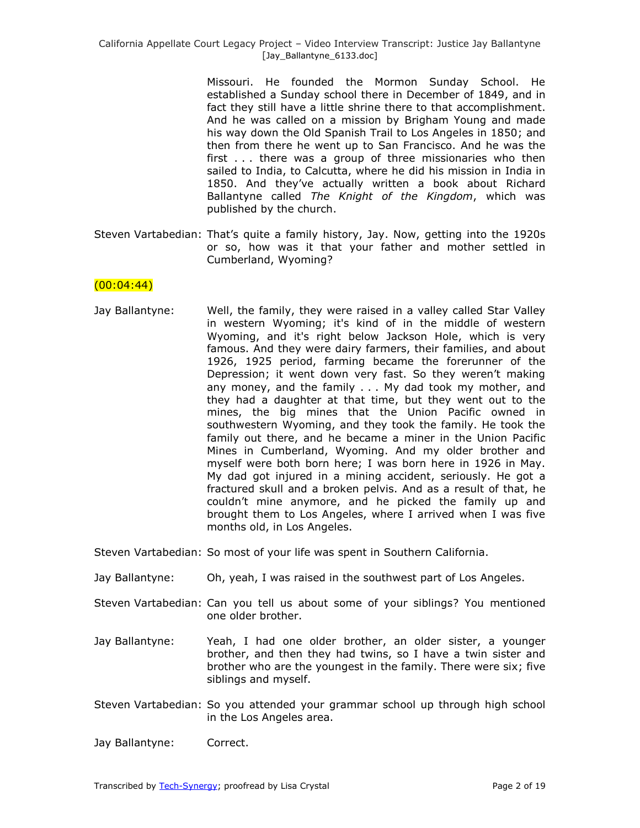Missouri. He founded the Mormon Sunday School. He established a Sunday school there in December of 1849, and in fact they still have a little shrine there to that accomplishment. And he was called on a mission by Brigham Young and made his way down the Old Spanish Trail to Los Angeles in 1850; and then from there he went up to San Francisco. And he was the first . . . there was a group of three missionaries who then sailed to India, to Calcutta, where he did his mission in India in 1850. And they've actually written a book about Richard Ballantyne called *The Knight of the Kingdom*, which was published by the church.

Steven Vartabedian: That's quite a family history, Jay. Now, getting into the 1920s or so, how was it that your father and mother settled in Cumberland, Wyoming?

### $(00:04:44)$

Jay Ballantyne: Well, the family, they were raised in a valley called Star Valley in western Wyoming; it's kind of in the middle of western Wyoming, and it's right below Jackson Hole, which is very famous. And they were dairy farmers, their families, and about 1926, 1925 period, farming became the forerunner of the Depression; it went down very fast. So they weren't making any money, and the family . . . My dad took my mother, and they had a daughter at that time, but they went out to the mines, the big mines that the Union Pacific owned in southwestern Wyoming, and they took the family. He took the family out there, and he became a miner in the Union Pacific Mines in Cumberland, Wyoming. And my older brother and myself were both born here; I was born here in 1926 in May. My dad got injured in a mining accident, seriously. He got a fractured skull and a broken pelvis. And as a result of that, he couldn't mine anymore, and he picked the family up and brought them to Los Angeles, where I arrived when I was five months old, in Los Angeles.

Steven Vartabedian: So most of your life was spent in Southern California.

- Jay Ballantyne: Oh, yeah, I was raised in the southwest part of Los Angeles.
- Steven Vartabedian: Can you tell us about some of your siblings? You mentioned one older brother.
- Jay Ballantyne: Yeah, I had one older brother, an older sister, a younger brother, and then they had twins, so I have a twin sister and brother who are the youngest in the family. There were six; five siblings and myself.
- Steven Vartabedian: So you attended your grammar school up through high school in the Los Angeles area.

Jay Ballantyne: Correct.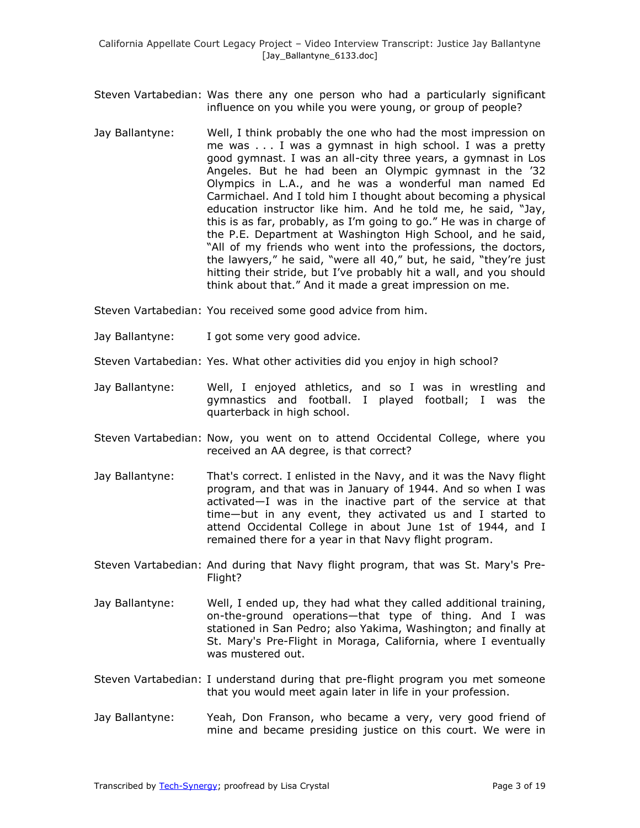Steven Vartabedian: Was there any one person who had a particularly significant influence on you while you were young, or group of people?

- Jay Ballantyne: Well, I think probably the one who had the most impression on me was . . . I was a gymnast in high school. I was a pretty good gymnast. I was an all-city three years, a gymnast in Los Angeles. But he had been an Olympic gymnast in the '32 Olympics in L.A., and he was a wonderful man named Ed Carmichael. And I told him I thought about becoming a physical education instructor like him. And he told me, he said, "Jay, this is as far, probably, as I'm going to go." He was in charge of the P.E. Department at Washington High School, and he said, "All of my friends who went into the professions, the doctors, the lawyers," he said, "were all 40," but, he said, "they're just hitting their stride, but I've probably hit a wall, and you should think about that." And it made a great impression on me.
- Steven Vartabedian: You received some good advice from him.
- Jay Ballantyne: I got some very good advice.
- Steven Vartabedian: Yes. What other activities did you enjoy in high school?
- Jay Ballantyne: Well, I enjoyed athletics, and so I was in wrestling and gymnastics and football. I played football; I was the quarterback in high school.
- Steven Vartabedian: Now, you went on to attend Occidental College, where you received an AA degree, is that correct?
- Jay Ballantyne: That's correct. I enlisted in the Navy, and it was the Navy flight program, and that was in January of 1944. And so when I was activated—I was in the inactive part of the service at that time—but in any event, they activated us and I started to attend Occidental College in about June 1st of 1944, and I remained there for a year in that Navy flight program.
- Steven Vartabedian: And during that Navy flight program, that was St. Mary's Pre-Flight?
- Jay Ballantyne: Well, I ended up, they had what they called additional training, on-the-ground operations—that type of thing. And I was stationed in San Pedro; also Yakima, Washington; and finally at St. Mary's Pre-Flight in Moraga, California, where I eventually was mustered out.
- Steven Vartabedian: I understand during that pre-flight program you met someone that you would meet again later in life in your profession.
- Jay Ballantyne: Yeah, Don Franson, who became a very, very good friend of mine and became presiding justice on this court. We were in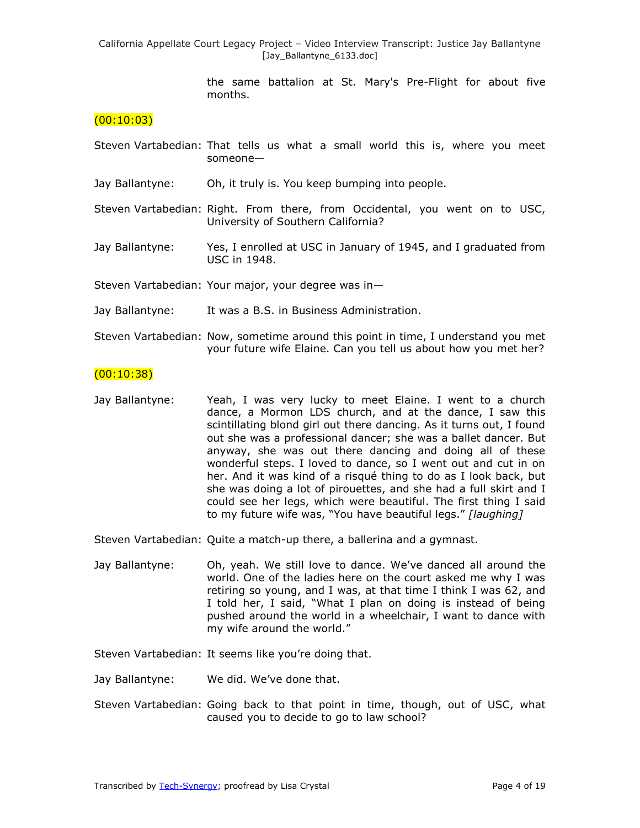> the same battalion at St. Mary's Pre-Flight for about five months.

#### $(00:10:03)$

- Steven Vartabedian: That tells us what a small world this is, where you meet someone—
- Jay Ballantyne: Oh, it truly is. You keep bumping into people.
- Steven Vartabedian: Right. From there, from Occidental, you went on to USC, University of Southern California?
- Jay Ballantyne: Yes, I enrolled at USC in January of 1945, and I graduated from USC in 1948.

Steven Vartabedian: Your major, your degree was in—

- Jay Ballantyne: It was a B.S. in Business Administration.
- Steven Vartabedian: Now, sometime around this point in time, I understand you met your future wife Elaine. Can you tell us about how you met her?

#### $(00:10:38)$

Jay Ballantyne: Yeah, I was very lucky to meet Elaine. I went to a church dance, a Mormon LDS church, and at the dance, I saw this scintillating blond girl out there dancing. As it turns out, I found out she was a professional dancer; she was a ballet dancer. But anyway, she was out there dancing and doing all of these wonderful steps. I loved to dance, so I went out and cut in on her. And it was kind of a risqué thing to do as I look back, but she was doing a lot of pirouettes, and she had a full skirt and I could see her legs, which were beautiful. The first thing I said to my future wife was, "You have beautiful legs." [laughing]

Steven Vartabedian: Quite a match-up there, a ballerina and a gymnast.

Jay Ballantyne: Oh, yeah. We still love to dance. We've danced all around the world. One of the ladies here on the court asked me why I was retiring so young, and I was, at that time I think I was 62, and I told her, I said, "What I plan on doing is instead of being pushed around the world in a wheelchair, I want to dance with my wife around the world."

Steven Vartabedian: It seems like you're doing that.

Jay Ballantyne: We did. We've done that.

Steven Vartabedian: Going back to that point in time, though, out of USC, what caused you to decide to go to law school?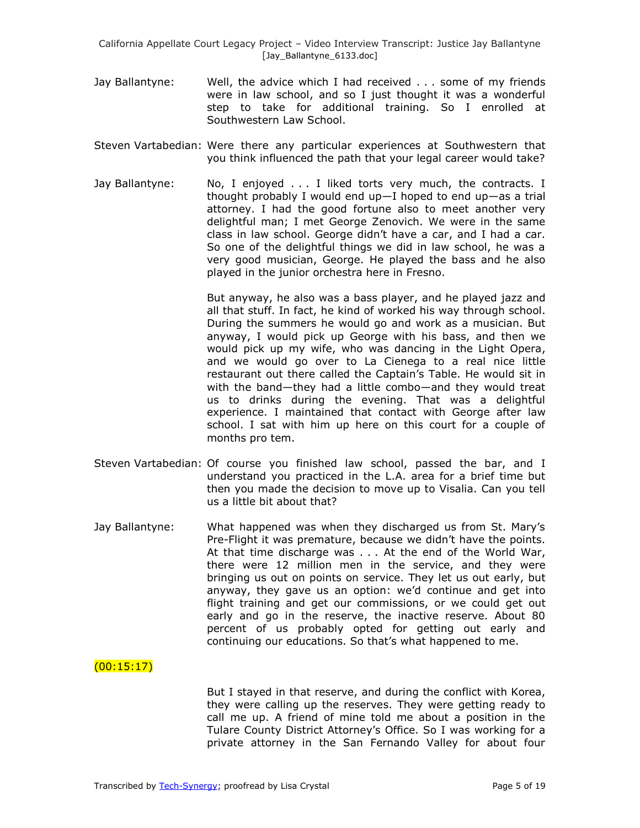- Jay Ballantyne: Well, the advice which I had received . . . some of my friends were in law school, and so I just thought it was a wonderful step to take for additional training. So I enrolled at Southwestern Law School.
- Steven Vartabedian: Were there any particular experiences at Southwestern that you think influenced the path that your legal career would take?
- Jay Ballantyne: No, I enjoyed . . . I liked torts very much, the contracts. I thought probably I would end up—I hoped to end up—as a trial attorney. I had the good fortune also to meet another very delightful man; I met George Zenovich. We were in the same class in law school. George didn't have a car, and I had a car. So one of the delightful things we did in law school, he was a very good musician, George. He played the bass and he also played in the junior orchestra here in Fresno.

But anyway, he also was a bass player, and he played jazz and all that stuff. In fact, he kind of worked his way through school. During the summers he would go and work as a musician. But anyway, I would pick up George with his bass, and then we would pick up my wife, who was dancing in the Light Opera, and we would go over to La Cienega to a real nice little restaurant out there called the Captain's Table. He would sit in with the band—they had a little combo—and they would treat us to drinks during the evening. That was a delightful experience. I maintained that contact with George after law school. I sat with him up here on this court for a couple of months pro tem.

- Steven Vartabedian: Of course you finished law school, passed the bar, and I understand you practiced in the L.A. area for a brief time but then you made the decision to move up to Visalia. Can you tell us a little bit about that?
- Jay Ballantyne: What happened was when they discharged us from St. Mary's Pre-Flight it was premature, because we didn't have the points. At that time discharge was . . . At the end of the World War, there were 12 million men in the service, and they were bringing us out on points on service. They let us out early, but anyway, they gave us an option: we'd continue and get into flight training and get our commissions, or we could get out early and go in the reserve, the inactive reserve. About 80 percent of us probably opted for getting out early and continuing our educations. So that's what happened to me.

## $(00:15:17)$

But I stayed in that reserve, and during the conflict with Korea, they were calling up the reserves. They were getting ready to call me up. A friend of mine told me about a position in the Tulare County District Attorney's Office. So I was working for a private attorney in the San Fernando Valley for about four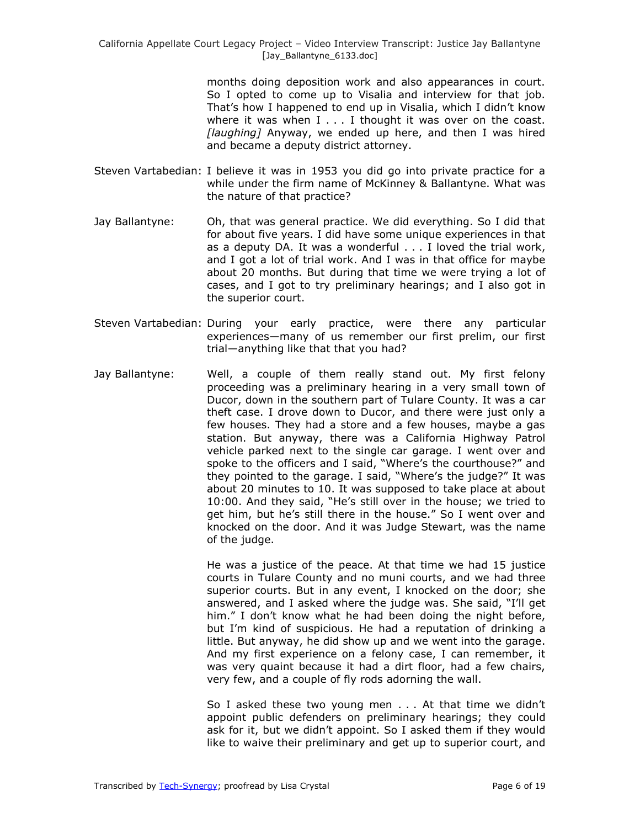months doing deposition work and also appearances in court. So I opted to come up to Visalia and interview for that job. That's how I happened to end up in Visalia, which I didn't know where it was when  $I \ldots I$  thought it was over on the coast. *[laughing]* Anyway, we ended up here, and then I was hired and became a deputy district attorney.

- Steven Vartabedian: I believe it was in 1953 you did go into private practice for a while under the firm name of McKinney & Ballantyne. What was the nature of that practice?
- Jay Ballantyne: Oh, that was general practice. We did everything. So I did that for about five years. I did have some unique experiences in that as a deputy DA. It was a wonderful . . . I loved the trial work, and I got a lot of trial work. And I was in that office for maybe about 20 months. But during that time we were trying a lot of cases, and I got to try preliminary hearings; and I also got in the superior court.
- Steven Vartabedian: During your early practice, were there any particular experiences—many of us remember our first prelim, our first trial—anything like that that you had?
- Jay Ballantyne: Well, a couple of them really stand out. My first felony proceeding was a preliminary hearing in a very small town of Ducor, down in the southern part of Tulare County. It was a car theft case. I drove down to Ducor, and there were just only a few houses. They had a store and a few houses, maybe a gas station. But anyway, there was a California Highway Patrol vehicle parked next to the single car garage. I went over and spoke to the officers and I said, "Where's the courthouse?" and they pointed to the garage. I said, "Where's the judge?" It was about 20 minutes to 10. It was supposed to take place at about 10:00. And they said, "He's still over in the house; we tried to get him, but he's still there in the house." So I went over and knocked on the door. And it was Judge Stewart, was the name of the judge.

He was a justice of the peace. At that time we had 15 justice courts in Tulare County and no muni courts, and we had three superior courts. But in any event, I knocked on the door; she answered, and I asked where the judge was. She said, "I'll get him." I don't know what he had been doing the night before, but I'm kind of suspicious. He had a reputation of drinking a little. But anyway, he did show up and we went into the garage. And my first experience on a felony case, I can remember, it was very quaint because it had a dirt floor, had a few chairs, very few, and a couple of fly rods adorning the wall.

So I asked these two young men . . . At that time we didn't appoint public defenders on preliminary hearings; they could ask for it, but we didn't appoint. So I asked them if they would like to waive their preliminary and get up to superior court, and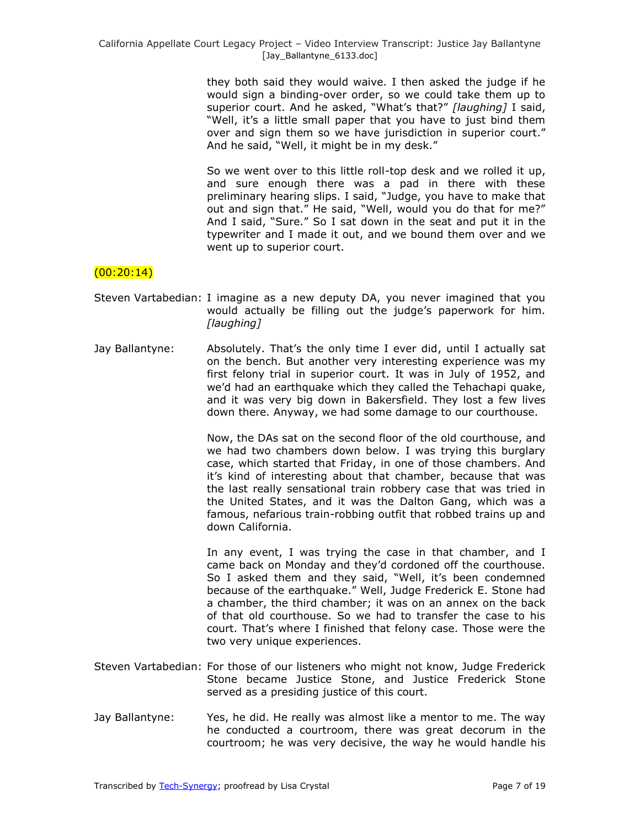they both said they would waive. I then asked the judge if he would sign a binding-over order, so we could take them up to superior court. And he asked, "What's that?" [laughing] I said, "Well, it's a little small paper that you have to just bind them over and sign them so we have jurisdiction in superior court." And he said, "Well, it might be in my desk."

So we went over to this little roll-top desk and we rolled it up, and sure enough there was a pad in there with these preliminary hearing slips. I said, "Judge, you have to make that out and sign that." He said, "Well, would you do that for me?" And I said, "Sure." So I sat down in the seat and put it in the typewriter and I made it out, and we bound them over and we went up to superior court.

# $(00:20:14)$

- Steven Vartabedian: I imagine as a new deputy DA, you never imagined that you would actually be filling out the judge's paperwork for him. *[laughing]*
- Jay Ballantyne: Absolutely. That's the only time I ever did, until I actually sat on the bench. But another very interesting experience was my first felony trial in superior court. It was in July of 1952, and we'd had an earthquake which they called the Tehachapi quake, and it was very big down in Bakersfield. They lost a few lives down there. Anyway, we had some damage to our courthouse.

Now, the DAs sat on the second floor of the old courthouse, and we had two chambers down below. I was trying this burglary case, which started that Friday, in one of those chambers. And it's kind of interesting about that chamber, because that was the last really sensational train robbery case that was tried in the United States, and it was the Dalton Gang, which was a famous, nefarious train-robbing outfit that robbed trains up and down California.

In any event, I was trying the case in that chamber, and I came back on Monday and they'd cordoned off the courthouse. So I asked them and they said, "Well, it's been condemned because of the earthquake." Well, Judge Frederick E. Stone had a chamber, the third chamber; it was on an annex on the back of that old courthouse. So we had to transfer the case to his court. That's where I finished that felony case. Those were the two very unique experiences.

- Steven Vartabedian: For those of our listeners who might not know, Judge Frederick Stone became Justice Stone, and Justice Frederick Stone served as a presiding justice of this court.
- Jay Ballantyne: Yes, he did. He really was almost like a mentor to me. The way he conducted a courtroom, there was great decorum in the courtroom; he was very decisive, the way he would handle his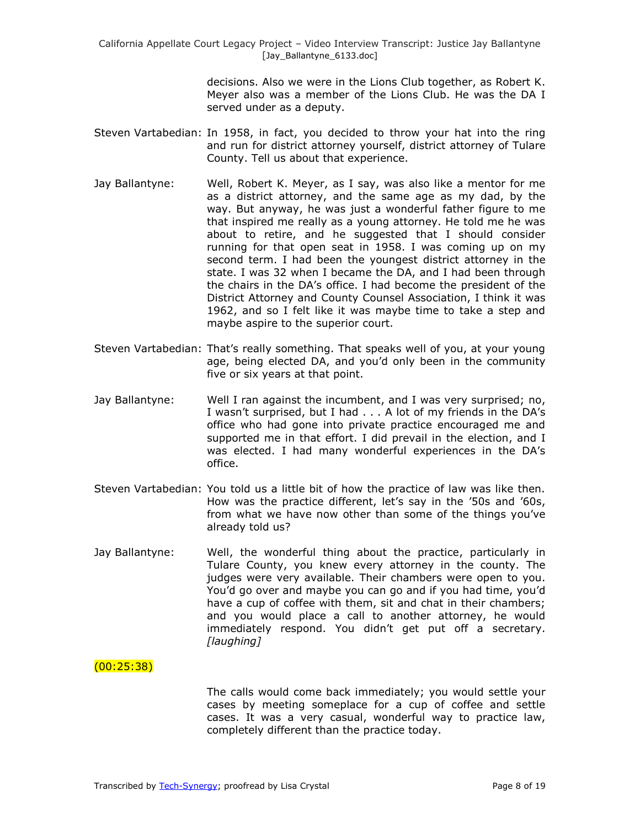> decisions. Also we were in the Lions Club together, as Robert K. Meyer also was a member of the Lions Club. He was the DA I served under as a deputy.

- Steven Vartabedian: In 1958, in fact, you decided to throw your hat into the ring and run for district attorney yourself, district attorney of Tulare County. Tell us about that experience.
- Jay Ballantyne: Well, Robert K. Meyer, as I say, was also like a mentor for me as a district attorney, and the same age as my dad, by the way. But anyway, he was just a wonderful father figure to me that inspired me really as a young attorney. He told me he was about to retire, and he suggested that I should consider running for that open seat in 1958. I was coming up on my second term. I had been the youngest district attorney in the state. I was 32 when I became the DA, and I had been through the chairs in the DA's office. I had become the president of the District Attorney and County Counsel Association, I think it was 1962, and so I felt like it was maybe time to take a step and maybe aspire to the superior court.
- Steven Vartabedian: That's really something. That speaks well of you, at your young age, being elected DA, and you'd only been in the community five or six years at that point.
- Jay Ballantyne: Well I ran against the incumbent, and I was very surprised; no, I wasn't surprised, but I had . . . A lot of my friends in the DA's office who had gone into private practice encouraged me and supported me in that effort. I did prevail in the election, and I was elected. I had many wonderful experiences in the DA's office.
- Steven Vartabedian: You told us a little bit of how the practice of law was like then. How was the practice different, let's say in the '50s and '60s, from what we have now other than some of the things you've already told us?
- Jay Ballantyne: Well, the wonderful thing about the practice, particularly in Tulare County, you knew every attorney in the county. The judges were very available. Their chambers were open to you. You'd go over and maybe you can go and if you had time, you'd have a cup of coffee with them, sit and chat in their chambers; and you would place a call to another attorney, he would immediately respond. You didn't get put off a secretary. *[laughing]*

### (00:25:38)

The calls would come back immediately; you would settle your cases by meeting someplace for a cup of coffee and settle cases. It was a very casual, wonderful way to practice law, completely different than the practice today.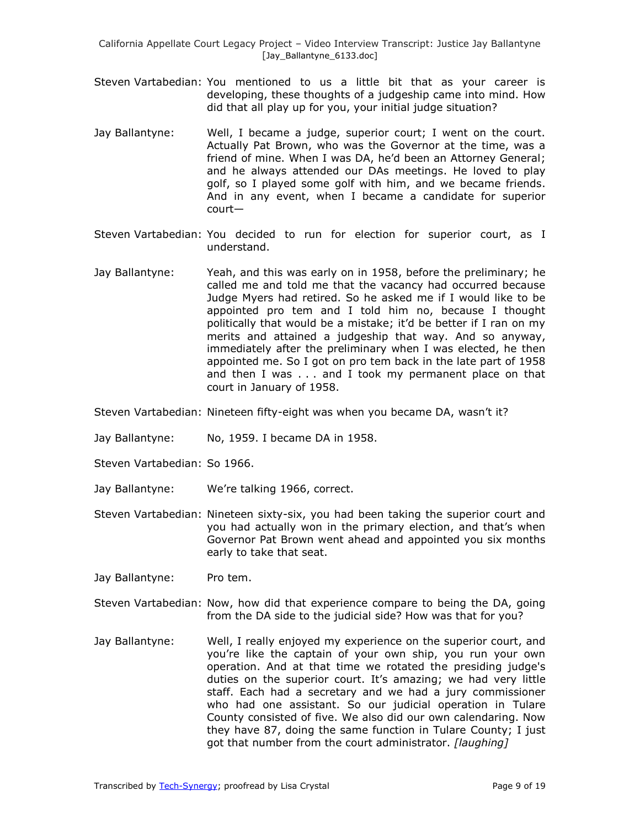- Steven Vartabedian: You mentioned to us a little bit that as your career is developing, these thoughts of a judgeship came into mind. How did that all play up for you, your initial judge situation?
- Jay Ballantyne: Well, I became a judge, superior court; I went on the court. Actually Pat Brown, who was the Governor at the time, was a friend of mine. When I was DA, he'd been an Attorney General; and he always attended our DAs meetings. He loved to play golf, so I played some golf with him, and we became friends. And in any event, when I became a candidate for superior court—
- Steven Vartabedian: You decided to run for election for superior court, as I understand.
- Jay Ballantyne: Yeah, and this was early on in 1958, before the preliminary; he called me and told me that the vacancy had occurred because Judge Myers had retired. So he asked me if I would like to be appointed pro tem and I told him no, because I thought politically that would be a mistake; it'd be better if I ran on my merits and attained a judgeship that way. And so anyway, immediately after the preliminary when I was elected, he then appointed me. So I got on pro tem back in the late part of 1958 and then I was . . . and I took my permanent place on that court in January of 1958.
- Steven Vartabedian: Nineteen fifty-eight was when you became DA, wasn't it?
- Jay Ballantyne: No, 1959. I became DA in 1958.
- Steven Vartabedian: So 1966.
- Jay Ballantyne: We're talking 1966, correct.
- Steven Vartabedian: Nineteen sixty-six, you had been taking the superior court and you had actually won in the primary election, and that's when Governor Pat Brown went ahead and appointed you six months early to take that seat.
- Jay Ballantyne: Pro tem.
- Steven Vartabedian: Now, how did that experience compare to being the DA, going from the DA side to the judicial side? How was that for you?
- Jay Ballantyne: Well, I really enjoyed my experience on the superior court, and you're like the captain of your own ship, you run your own operation. And at that time we rotated the presiding judge's duties on the superior court. It's amazing; we had very little staff. Each had a secretary and we had a jury commissioner who had one assistant. So our judicial operation in Tulare County consisted of five. We also did our own calendaring. Now they have 87, doing the same function in Tulare County; I just got that number from the court administrator. *[laughing]*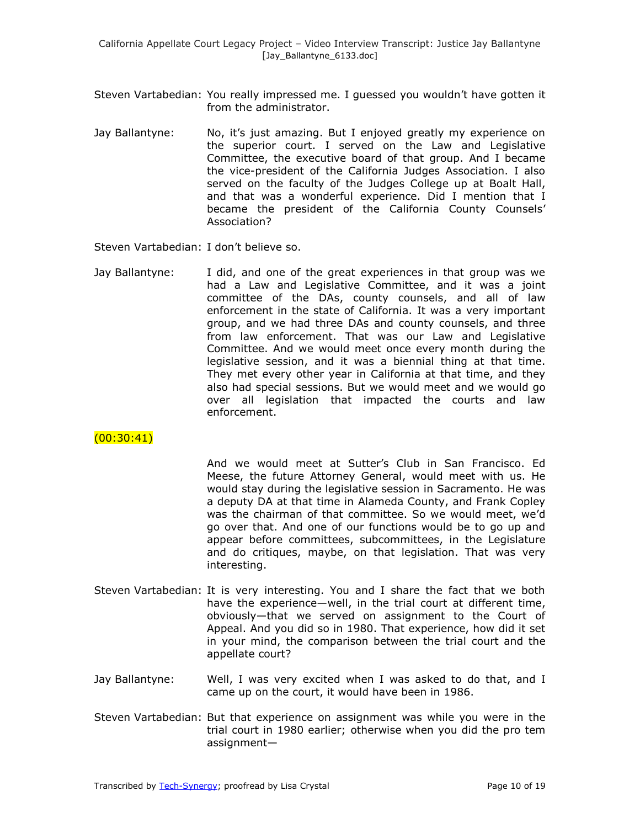- Steven Vartabedian: You really impressed me. I guessed you wouldn't have gotten it from the administrator.
- Jay Ballantyne: No, it's just amazing. But I enjoyed greatly my experience on the superior court. I served on the Law and Legislative Committee, the executive board of that group. And I became the vice-president of the California Judges Association. I also served on the faculty of the Judges College up at Boalt Hall, and that was a wonderful experience. Did I mention that I became the president of the California County Counsels' Association?

Steven Vartabedian: I don't believe so.

Jay Ballantyne: I did, and one of the great experiences in that group was we had a Law and Legislative Committee, and it was a joint committee of the DAs, county counsels, and all of law enforcement in the state of California. It was a very important group, and we had three DAs and county counsels, and three from law enforcement. That was our Law and Legislative Committee. And we would meet once every month during the legislative session, and it was a biennial thing at that time. They met every other year in California at that time, and they also had special sessions. But we would meet and we would go over all legislation that impacted the courts and law enforcement.

## $(00:30:41)$

And we would meet at Sutter's Club in San Francisco. Ed Meese, the future Attorney General, would meet with us. He would stay during the legislative session in Sacramento. He was a deputy DA at that time in Alameda County, and Frank Copley was the chairman of that committee. So we would meet, we'd go over that. And one of our functions would be to go up and appear before committees, subcommittees, in the Legislature and do critiques, maybe, on that legislation. That was very interesting.

- Steven Vartabedian: It is very interesting. You and I share the fact that we both have the experience—well, in the trial court at different time, obviously—that we served on assignment to the Court of Appeal. And you did so in 1980. That experience, how did it set in your mind, the comparison between the trial court and the appellate court?
- Jay Ballantyne: Well, I was very excited when I was asked to do that, and I came up on the court, it would have been in 1986.
- Steven Vartabedian: But that experience on assignment was while you were in the trial court in 1980 earlier; otherwise when you did the pro tem assignment—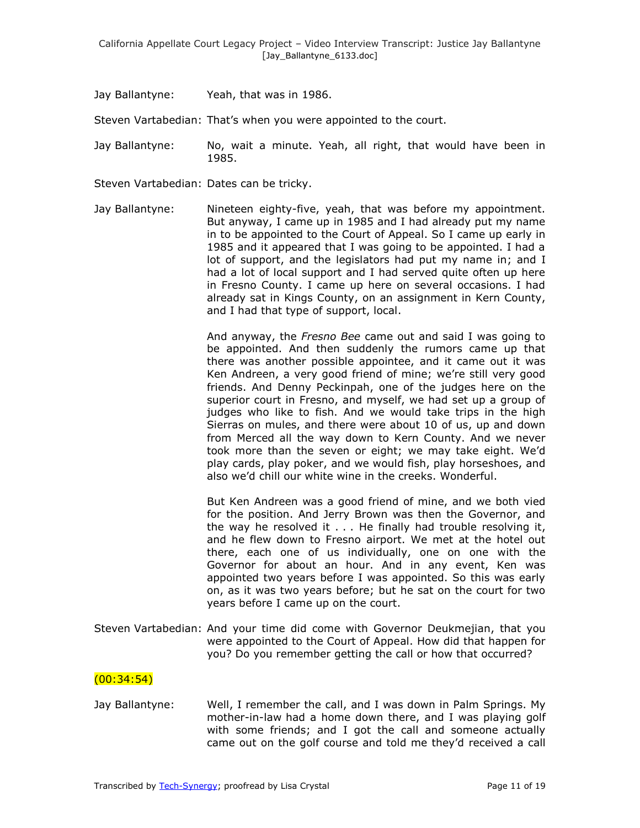Jay Ballantyne: Yeah, that was in 1986.

Steven Vartabedian: That's when you were appointed to the court.

Jay Ballantyne: No, wait a minute. Yeah, all right, that would have been in 1985.

Steven Vartabedian: Dates can be tricky.

Jay Ballantyne: Nineteen eighty-five, yeah, that was before my appointment. But anyway, I came up in 1985 and I had already put my name in to be appointed to the Court of Appeal. So I came up early in 1985 and it appeared that I was going to be appointed. I had a lot of support, and the legislators had put my name in; and I had a lot of local support and I had served quite often up here in Fresno County. I came up here on several occasions. I had already sat in Kings County, on an assignment in Kern County, and I had that type of support, local.

> And anyway, the *Fresno Bee* came out and said I was going to be appointed. And then suddenly the rumors came up that there was another possible appointee, and it came out it was Ken Andreen, a very good friend of mine; we're still very good friends. And Denny Peckinpah, one of the judges here on the superior court in Fresno, and myself, we had set up a group of judges who like to fish. And we would take trips in the high Sierras on mules, and there were about 10 of us, up and down from Merced all the way down to Kern County. And we never took more than the seven or eight; we may take eight. We'd play cards, play poker, and we would fish, play horseshoes, and also we'd chill our white wine in the creeks. Wonderful.

> But Ken Andreen was a good friend of mine, and we both vied for the position. And Jerry Brown was then the Governor, and the way he resolved it . . . He finally had trouble resolving it, and he flew down to Fresno airport. We met at the hotel out there, each one of us individually, one on one with the Governor for about an hour. And in any event, Ken was appointed two years before I was appointed. So this was early on, as it was two years before; but he sat on the court for two years before I came up on the court.

Steven Vartabedian: And your time did come with Governor Deukmejian, that you were appointed to the Court of Appeal. How did that happen for you? Do you remember getting the call or how that occurred?

### (00:34:54)

Jay Ballantyne: Well, I remember the call, and I was down in Palm Springs. My mother-in-law had a home down there, and I was playing golf with some friends; and I got the call and someone actually came out on the golf course and told me they'd received a call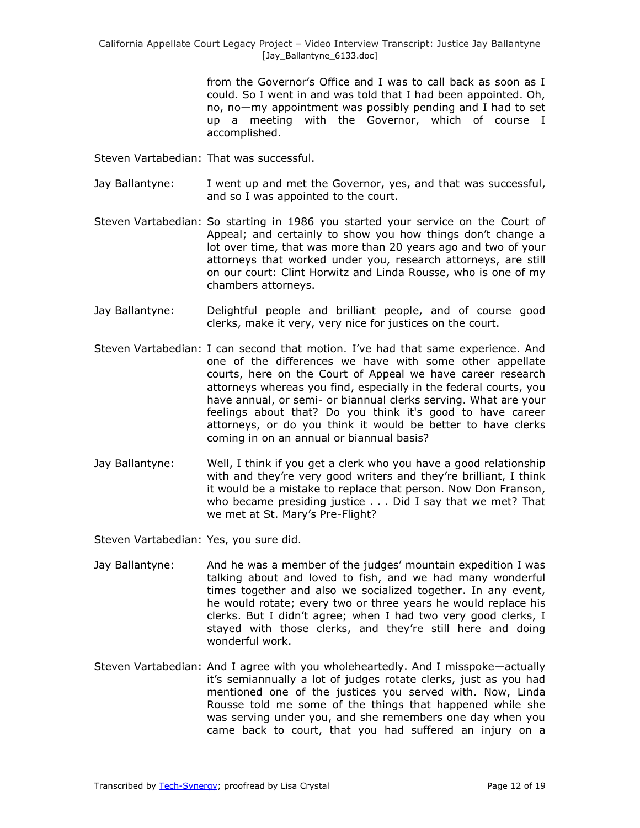from the Governor's Office and I was to call back as soon as I could. So I went in and was told that I had been appointed. Oh, no, no—my appointment was possibly pending and I had to set up a meeting with the Governor, which of course I accomplished.

Steven Vartabedian: That was successful.

- Jay Ballantyne: I went up and met the Governor, yes, and that was successful, and so I was appointed to the court.
- Steven Vartabedian: So starting in 1986 you started your service on the Court of Appeal; and certainly to show you how things don't change a lot over time, that was more than 20 years ago and two of your attorneys that worked under you, research attorneys, are still on our court: Clint Horwitz and Linda Rousse, who is one of my chambers attorneys.
- Jay Ballantyne: Delightful people and brilliant people, and of course good clerks, make it very, very nice for justices on the court.
- Steven Vartabedian: I can second that motion. I've had that same experience. And one of the differences we have with some other appellate courts, here on the Court of Appeal we have career research attorneys whereas you find, especially in the federal courts, you have annual, or semi- or biannual clerks serving. What are your feelings about that? Do you think it's good to have career attorneys, or do you think it would be better to have clerks coming in on an annual or biannual basis?
- Jay Ballantyne: Well, I think if you get a clerk who you have a good relationship with and they're very good writers and they're brilliant, I think it would be a mistake to replace that person. Now Don Franson, who became presiding justice . . . Did I say that we met? That we met at St. Mary's Pre-Flight?

Steven Vartabedian: Yes, you sure did.

- Jay Ballantyne: And he was a member of the judges' mountain expedition I was talking about and loved to fish, and we had many wonderful times together and also we socialized together. In any event, he would rotate; every two or three years he would replace his clerks. But I didn't agree; when I had two very good clerks, I stayed with those clerks, and they're still here and doing wonderful work.
- Steven Vartabedian: And I agree with you wholeheartedly. And I misspoke—actually it's semiannually a lot of judges rotate clerks, just as you had mentioned one of the justices you served with. Now, Linda Rousse told me some of the things that happened while she was serving under you, and she remembers one day when you came back to court, that you had suffered an injury on a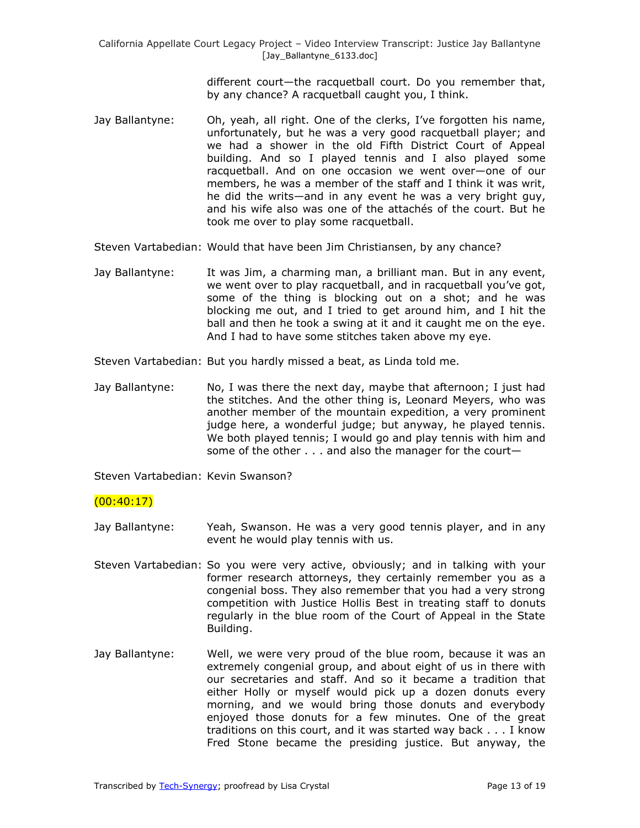different court—the racquetball court. Do you remember that, by any chance? A racquetball caught you, I think.

- Jay Ballantyne: Oh, yeah, all right. One of the clerks, I've forgotten his name, unfortunately, but he was a very good racquetball player; and we had a shower in the old Fifth District Court of Appeal building. And so I played tennis and I also played some racquetball. And on one occasion we went over—one of our members, he was a member of the staff and I think it was writ, he did the writs—and in any event he was a very bright guy, and his wife also was one of the attachés of the court. But he took me over to play some racquetball.
- Steven Vartabedian: Would that have been Jim Christiansen, by any chance?
- Jay Ballantyne: It was Jim, a charming man, a brilliant man. But in any event, we went over to play racquetball, and in racquetball you've got, some of the thing is blocking out on a shot; and he was blocking me out, and I tried to get around him, and I hit the ball and then he took a swing at it and it caught me on the eye. And I had to have some stitches taken above my eye.
- Steven Vartabedian: But you hardly missed a beat, as Linda told me.
- Jay Ballantyne: No, I was there the next day, maybe that afternoon; I just had the stitches. And the other thing is, Leonard Meyers, who was another member of the mountain expedition, a very prominent judge here, a wonderful judge; but anyway, he played tennis. We both played tennis; I would go and play tennis with him and some of the other . . . and also the manager for the court—

Steven Vartabedian: Kevin Swanson?

## $(00:40:17)$

- Jay Ballantyne: Yeah, Swanson. He was a very good tennis player, and in any event he would play tennis with us.
- Steven Vartabedian: So you were very active, obviously; and in talking with your former research attorneys, they certainly remember you as a congenial boss. They also remember that you had a very strong competition with Justice Hollis Best in treating staff to donuts regularly in the blue room of the Court of Appeal in the State Building.
- Jay Ballantyne: Well, we were very proud of the blue room, because it was an extremely congenial group, and about eight of us in there with our secretaries and staff. And so it became a tradition that either Holly or myself would pick up a dozen donuts every morning, and we would bring those donuts and everybody enjoyed those donuts for a few minutes. One of the great traditions on this court, and it was started way back . . . I know Fred Stone became the presiding justice. But anyway, the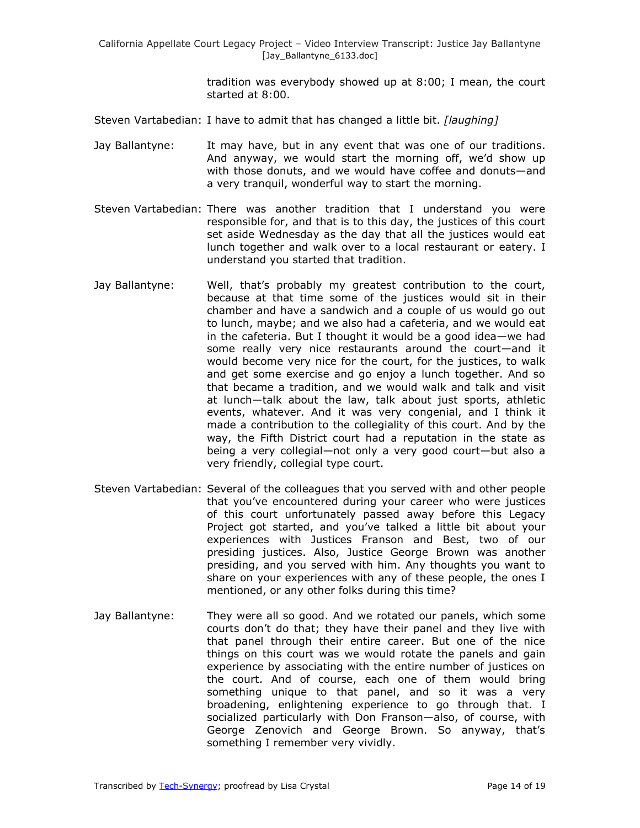tradition was everybody showed up at 8:00; I mean, the court started at 8:00.

- Steven Vartabedian: I have to admit that has changed a little bit. *[laughing]*
- Jay Ballantyne: It may have, but in any event that was one of our traditions. And anyway, we would start the morning off, we'd show up with those donuts, and we would have coffee and donuts—and a very tranquil, wonderful way to start the morning.
- Steven Vartabedian: There was another tradition that I understand you were responsible for, and that is to this day, the justices of this court set aside Wednesday as the day that all the justices would eat lunch together and walk over to a local restaurant or eatery. I understand you started that tradition.
- Jay Ballantyne: Well, that's probably my greatest contribution to the court, because at that time some of the justices would sit in their chamber and have a sandwich and a couple of us would go out to lunch, maybe; and we also had a cafeteria, and we would eat in the cafeteria. But I thought it would be a good idea—we had some really very nice restaurants around the court—and it would become very nice for the court, for the justices, to walk and get some exercise and go enjoy a lunch together. And so that became a tradition, and we would walk and talk and visit at lunch—talk about the law, talk about just sports, athletic events, whatever. And it was very congenial, and I think it made a contribution to the collegiality of this court. And by the way, the Fifth District court had a reputation in the state as being a very collegial—not only a very good court—but also a very friendly, collegial type court.
- Steven Vartabedian: Several of the colleagues that you served with and other people that you've encountered during your career who were justices of this court unfortunately passed away before this Legacy Project got started, and you've talked a little bit about your experiences with Justices Franson and Best, two of our presiding justices. Also, Justice George Brown was another presiding, and you served with him. Any thoughts you want to share on your experiences with any of these people, the ones I mentioned, or any other folks during this time?
- Jay Ballantyne: They were all so good. And we rotated our panels, which some courts don't do that; they have their panel and they live with that panel through their entire career. But one of the nice things on this court was we would rotate the panels and gain experience by associating with the entire number of justices on the court. And of course, each one of them would bring something unique to that panel, and so it was a very broadening, enlightening experience to go through that. I socialized particularly with Don Franson—also, of course, with George Zenovich and George Brown. So anyway, that's something I remember very vividly.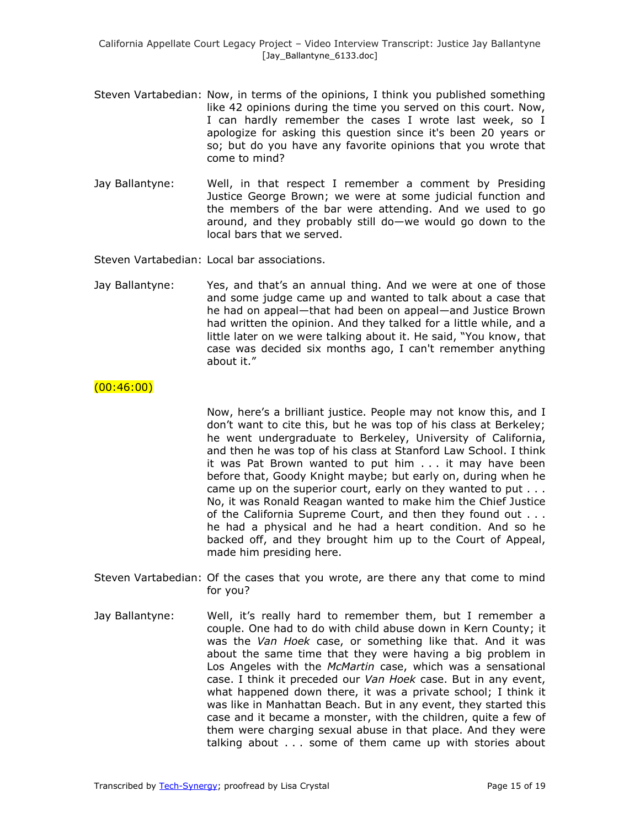- Steven Vartabedian: Now, in terms of the opinions, I think you published something like 42 opinions during the time you served on this court. Now, I can hardly remember the cases I wrote last week, so I apologize for asking this question since it's been 20 years or so; but do you have any favorite opinions that you wrote that come to mind?
- Jay Ballantyne: Well, in that respect I remember a comment by Presiding Justice George Brown; we were at some judicial function and the members of the bar were attending. And we used to go around, and they probably still do—we would go down to the local bars that we served.

Steven Vartabedian: Local bar associations.

Jay Ballantyne: Yes, and that's an annual thing. And we were at one of those and some judge came up and wanted to talk about a case that he had on appeal—that had been on appeal—and Justice Brown had written the opinion. And they talked for a little while, and a little later on we were talking about it. He said, "You know, that case was decided six months ago, I can't remember anything about it."

#### $(00:46:00)$

Now, here's a brilliant justice. People may not know this, and I don't want to cite this, but he was top of his class at Berkeley; he went undergraduate to Berkeley, University of California, and then he was top of his class at Stanford Law School. I think it was Pat Brown wanted to put him . . . it may have been before that, Goody Knight maybe; but early on, during when he came up on the superior court, early on they wanted to put . . . No, it was Ronald Reagan wanted to make him the Chief Justice of the California Supreme Court, and then they found out . . . he had a physical and he had a heart condition. And so he backed off, and they brought him up to the Court of Appeal, made him presiding here.

- Steven Vartabedian: Of the cases that you wrote, are there any that come to mind for you?
- Jay Ballantyne: Well, it's really hard to remember them, but I remember a couple. One had to do with child abuse down in Kern County; it was the *Van Hoek* case, or something like that. And it was about the same time that they were having a big problem in Los Angeles with the *McMartin* case, which was a sensational case. I think it preceded our *Van Hoek* case. But in any event, what happened down there, it was a private school; I think it was like in Manhattan Beach. But in any event, they started this case and it became a monster, with the children, quite a few of them were charging sexual abuse in that place. And they were talking about . . . some of them came up with stories about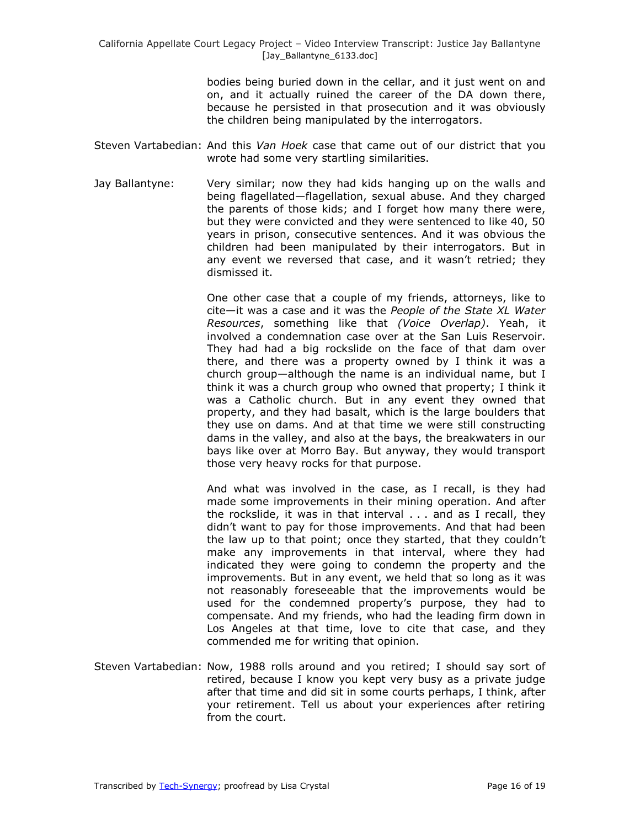bodies being buried down in the cellar, and it just went on and on, and it actually ruined the career of the DA down there, because he persisted in that prosecution and it was obviously the children being manipulated by the interrogators.

- Steven Vartabedian: And this *Van Hoek* case that came out of our district that you wrote had some very startling similarities.
- Jay Ballantyne: Very similar; now they had kids hanging up on the walls and being flagellated—flagellation, sexual abuse. And they charged the parents of those kids; and I forget how many there were, but they were convicted and they were sentenced to like 40, 50 years in prison, consecutive sentences. And it was obvious the children had been manipulated by their interrogators. But in any event we reversed that case, and it wasn't retried; they dismissed it.

One other case that a couple of my friends, attorneys, like to cite—it was a case and it was the *People of the State XL Water Resources*, something like that *(Voice Overlap)*. Yeah, it involved a condemnation case over at the San Luis Reservoir. They had had a big rockslide on the face of that dam over there, and there was a property owned by I think it was a church group—although the name is an individual name, but I think it was a church group who owned that property; I think it was a Catholic church. But in any event they owned that property, and they had basalt, which is the large boulders that they use on dams. And at that time we were still constructing dams in the valley, and also at the bays, the breakwaters in our bays like over at Morro Bay. But anyway, they would transport those very heavy rocks for that purpose.

And what was involved in the case, as I recall, is they had made some improvements in their mining operation. And after the rockslide, it was in that interval . . . and as I recall, they didn't want to pay for those improvements. And that had been the law up to that point; once they started, that they couldn't make any improvements in that interval, where they had indicated they were going to condemn the property and the improvements. But in any event, we held that so long as it was not reasonably foreseeable that the improvements would be used for the condemned property's purpose, they had to compensate. And my friends, who had the leading firm down in Los Angeles at that time, love to cite that case, and they commended me for writing that opinion.

Steven Vartabedian: Now, 1988 rolls around and you retired; I should say sort of retired, because I know you kept very busy as a private judge after that time and did sit in some courts perhaps, I think, after your retirement. Tell us about your experiences after retiring from the court.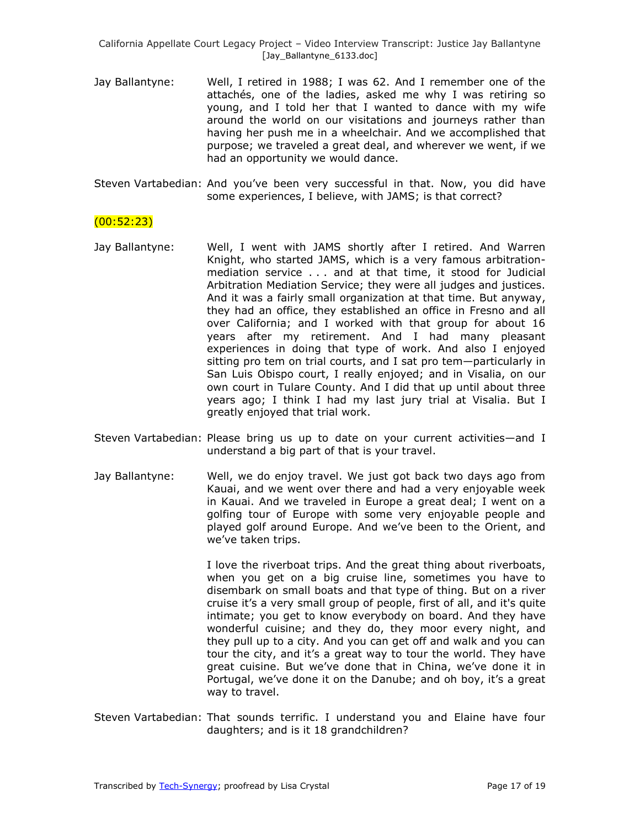- Jay Ballantyne: Well, I retired in 1988; I was 62. And I remember one of the attachés, one of the ladies, asked me why I was retiring so young, and I told her that I wanted to dance with my wife around the world on our visitations and journeys rather than having her push me in a wheelchair. And we accomplished that purpose; we traveled a great deal, and wherever we went, if we had an opportunity we would dance.
- Steven Vartabedian: And you've been very successful in that. Now, you did have some experiences, I believe, with JAMS; is that correct?

### (00:52:23)

- Jay Ballantyne: Well, I went with JAMS shortly after I retired. And Warren Knight, who started JAMS, which is a very famous arbitrationmediation service . . . and at that time, it stood for Judicial Arbitration Mediation Service; they were all judges and justices. And it was a fairly small organization at that time. But anyway, they had an office, they established an office in Fresno and all over California; and I worked with that group for about 16 years after my retirement. And I had many pleasant experiences in doing that type of work. And also I enjoyed sitting pro tem on trial courts, and I sat pro tem—particularly in San Luis Obispo court, I really enjoyed; and in Visalia, on our own court in Tulare County. And I did that up until about three years ago; I think I had my last jury trial at Visalia. But I greatly enjoyed that trial work.
- Steven Vartabedian: Please bring us up to date on your current activities—and I understand a big part of that is your travel.
- Jay Ballantyne: Well, we do enjoy travel. We just got back two days ago from Kauai, and we went over there and had a very enjoyable week in Kauai. And we traveled in Europe a great deal; I went on a golfing tour of Europe with some very enjoyable people and played golf around Europe. And we've been to the Orient, and we've taken trips.

I love the riverboat trips. And the great thing about riverboats, when you get on a big cruise line, sometimes you have to disembark on small boats and that type of thing. But on a river cruise it's a very small group of people, first of all, and it's quite intimate; you get to know everybody on board. And they have wonderful cuisine; and they do, they moor every night, and they pull up to a city. And you can get off and walk and you can tour the city, and it's a great way to tour the world. They have great cuisine. But we've done that in China, we've done it in Portugal, we've done it on the Danube; and oh boy, it's a great way to travel.

Steven Vartabedian: That sounds terrific. I understand you and Elaine have four daughters; and is it 18 grandchildren?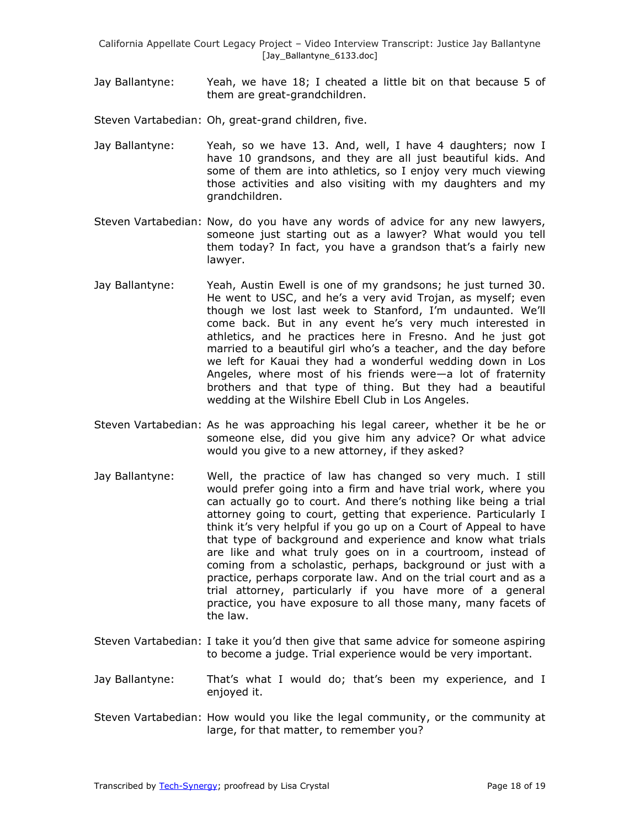Jay Ballantyne: Yeah, we have 18; I cheated a little bit on that because 5 of them are great-grandchildren.

Steven Vartabedian: Oh, great-grand children, five.

- Jay Ballantyne: Yeah, so we have 13. And, well, I have 4 daughters; now I have 10 grandsons, and they are all just beautiful kids. And some of them are into athletics, so I enjoy very much viewing those activities and also visiting with my daughters and my grandchildren.
- Steven Vartabedian: Now, do you have any words of advice for any new lawyers, someone just starting out as a lawyer? What would you tell them today? In fact, you have a grandson that's a fairly new lawyer.
- Jay Ballantyne: Yeah, Austin Ewell is one of my grandsons; he just turned 30. He went to USC, and he's a very avid Trojan, as myself; even though we lost last week to Stanford, I'm undaunted. We'll come back. But in any event he's very much interested in athletics, and he practices here in Fresno. And he just got married to a beautiful girl who's a teacher, and the day before we left for Kauai they had a wonderful wedding down in Los Angeles, where most of his friends were—a lot of fraternity brothers and that type of thing. But they had a beautiful wedding at the Wilshire Ebell Club in Los Angeles.
- Steven Vartabedian: As he was approaching his legal career, whether it be he or someone else, did you give him any advice? Or what advice would you give to a new attorney, if they asked?
- Jay Ballantyne: Well, the practice of law has changed so very much. I still would prefer going into a firm and have trial work, where you can actually go to court. And there's nothing like being a trial attorney going to court, getting that experience. Particularly I think it's very helpful if you go up on a Court of Appeal to have that type of background and experience and know what trials are like and what truly goes on in a courtroom, instead of coming from a scholastic, perhaps, background or just with a practice, perhaps corporate law. And on the trial court and as a trial attorney, particularly if you have more of a general practice, you have exposure to all those many, many facets of the law.
- Steven Vartabedian: I take it you'd then give that same advice for someone aspiring to become a judge. Trial experience would be very important.
- Jay Ballantyne: That's what I would do; that's been my experience, and I enjoyed it.
- Steven Vartabedian: How would you like the legal community, or the community at large, for that matter, to remember you?